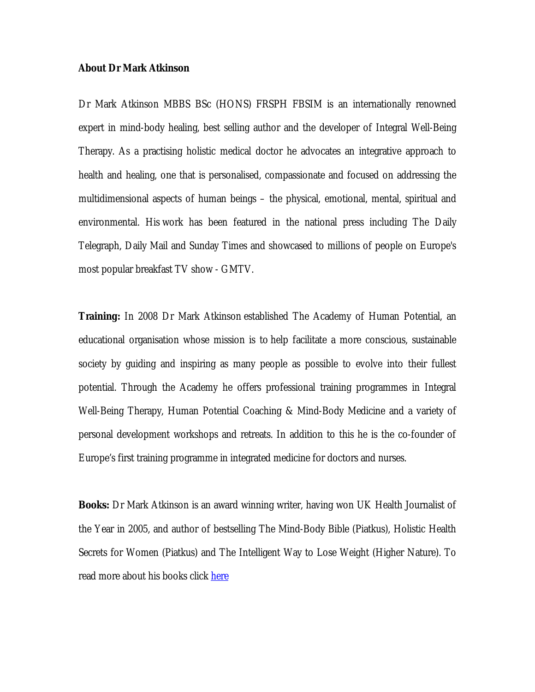## **About Dr Mark Atkinson**

Dr Mark Atkinson MBBS BSc (HONS) FRSPH FBSIM is an internationally renowned expert in mind-body healing, best selling author and the developer of Integral Well-Being Therapy. As a practising holistic medical doctor he advocates an integrative approach to health and healing, one that is personalised, compassionate and focused on addressing the multidimensional aspects of human beings – the physical, emotional, mental, spiritual and environmental. His work has been featured in the national press including The Daily Telegraph, Daily Mail and Sunday Times and showcased to millions of people on Europe's most popular breakfast TV show - GMTV.

**Training:** In 2008 Dr Mark Atkinson established The Academy of Human Potential, an educational organisation whose mission is to help facilitate a more conscious, sustainable society by guiding and inspiring as many people as possible to evolve into their fullest potential. Through the Academy he offers professional training programmes in Integral Well-Being Therapy, Human Potential Coaching & Mind-Body Medicine and a variety of personal development workshops and retreats. In addition to this he is the co-founder of Europe's first training programme in integrated medicine for doctors and nurses.

**Books:** Dr Mark Atkinson is an award winning writer, having won UK Health Journalist of the Year in 2005, and author of bestselling The Mind-Body Bible (Piatkus), Holistic Health Secrets for Women (Piatkus) and The Intelligent Way to Lose Weight (Higher Nature). To read more about his books click here